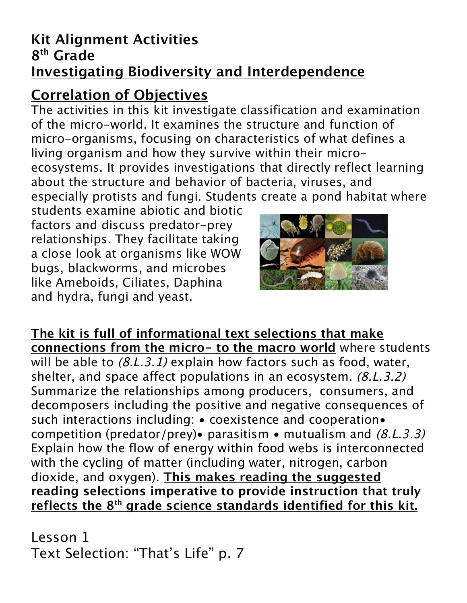## **Kit Alignment Activities 8th Grade Investigating Biodiversity and Interdependence**

# **Correlation of Objectives**

The activities in this kit investigate classification and examination of the micro-world. It examines the structure and function of micro-organisms, focusing on characteristics of what defines a living organism and how they survive within their microecosystems. It provides investigations that directly reflect learning about the structure and behavior of bacteria, viruses, and especially protists and fungi. Students create a pond habitat where

students examine abiotic and biotic factors and discuss predator-prey relationships. They facilitate taking a close look at organisms like WOW bugs, blackworms, and microbes like Ameboids, Ciliates, Daphina and hydra, fungi and yeast.



**The kit is full of informational text selections that make connections from the micro- to the macro world** where students will be able to  $(8.1.3.1)$  explain how factors such as food, water, shelter, and space affect populations in an ecosystem. (8.L.3.2) Summarize the relationships among producers, consumers, and decomposers including the positive and negative consequences of such interactions including: • coexistence and cooperation• competition (predator/prey)• parasitism • mutualism and  $(8.1.3.3)$ Explain how the flow of energy within food webs is interconnected with the cycling of matter (including water, nitrogen, carbon dioxide, and oxygen). **This makes reading the suggested reading selections imperative to provide instruction that truly**  reflects the 8<sup>th</sup> grade science standards identified for this kit.

Lesson 1 Text Selection: "That's Life" p. 7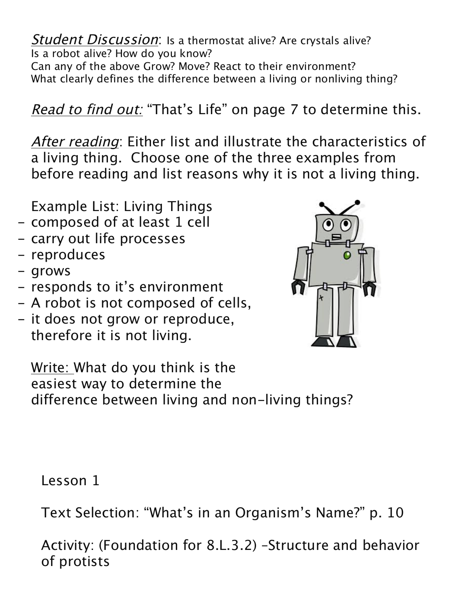Student Discussion: Is a thermostat alive? Are crystals alive? Is a robot alive? How do you know? Can any of the above Grow? Move? React to their environment? What clearly defines the difference between a living or nonliving thing?

Read to find out: "That's Life" on page 7 to determine this.

After reading: Either list and illustrate the characteristics of a living thing. Choose one of the three examples from before reading and list reasons why it is not a living thing.

Example List: Living Things

- composed of at least 1 cell
- carry out life processes
- reproduces
- grows
- responds to it's environment
- A robot is not composed of cells,
- it does not grow or reproduce, therefore it is not living.



Write: What do you think is the easiest way to determine the difference between living and non-living things?

Lesson 1

Text Selection: "What's in an Organism's Name?" p. 10

Activity: (Foundation for 8.L.3.2) –Structure and behavior of protists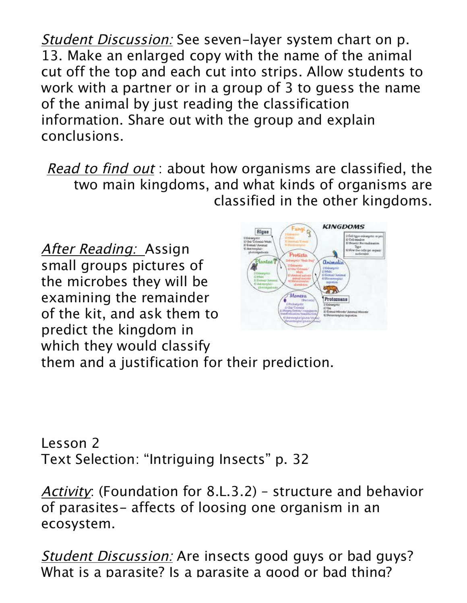Student Discussion: See seven-layer system chart on p. 13. Make an enlarged copy with the name of the animal cut off the top and each cut into strips. Allow students to work with a partner or in a group of 3 to guess the name of the animal by just reading the classification information. Share out with the group and explain conclusions.

Read to find out: about how organisms are classified, the two main kingdoms, and what kinds of organisms are classified in the other kingdoms.

After Reading: Assign small groups pictures of the microbes they will be examining the remainder of the kit, and ask them to predict the kingdom in which they would classify



them and a justification for their prediction.

Lesson 2 Text Selection: "Intriguing Insects" p. 32

Activity: (Foundation for 8.L.3.2) - structure and behavior of parasites- affects of loosing one organism in an ecosystem.

Student Discussion: Are insects good guys or bad guys? What is a parasite? Is a parasite a good or bad thing?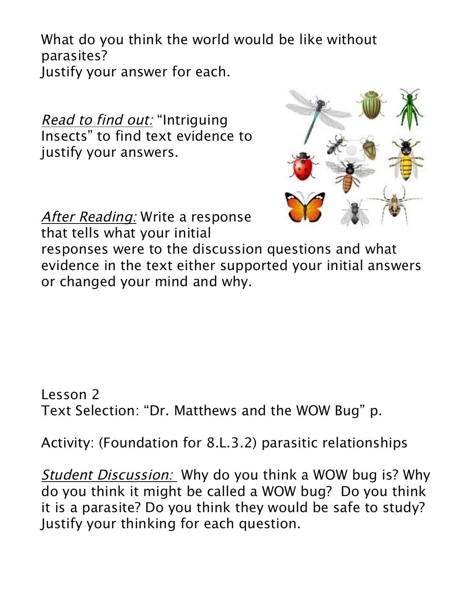What do you think the world would be like without parasites? Justify your answer for each.

Read to find out: "Intriguing Insects" to find text evidence to justify your answers.



After Reading: Write a response that tells what your initial

responses were to the discussion questions and what evidence in the text either supported your initial answers or changed your mind and why.

Lesson 2 Text Selection: "Dr. Matthews and the WOW Bug" p.

Activity: (Foundation for 8.L.3.2) parasitic relationships

**Student Discussion:** Why do you think a WOW bug is? Why do you think it might be called a WOW bug? Do you think it is a parasite? Do you think they would be safe to study? Justify your thinking for each question.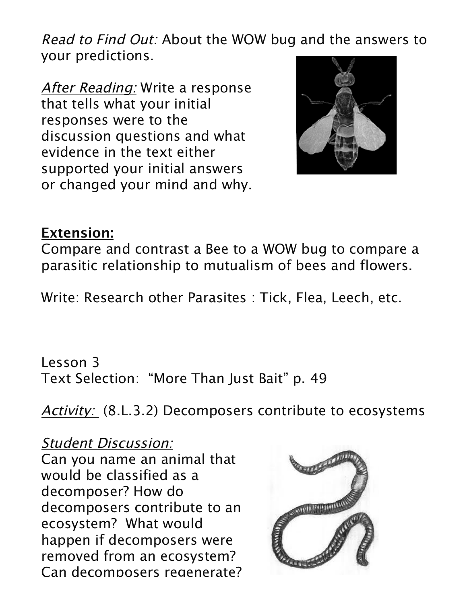Read to Find Out: About the WOW bug and the answers to your predictions.

After Reading: Write a response that tells what your initial responses were to the discussion questions and what evidence in the text either supported your initial answers or changed your mind and why.



### **Extension:**

Compare and contrast a Bee to a WOW bug to compare a parasitic relationship to mutualism of bees and flowers.

Write: Research other Parasites : Tick, Flea, Leech, etc.

Lesson 3 Text Selection: "More Than Just Bait" p. 49

Activity: (8.L.3.2) Decomposers contribute to ecosystems

### Student Discussion:

Can you name an animal that would be classified as a decomposer? How do decomposers contribute to an ecosystem? What would happen if decomposers were removed from an ecosystem? Can decomposers regenerate?

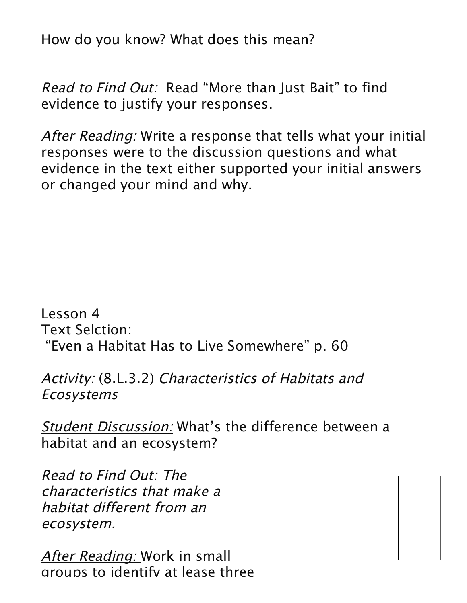How do you know? What does this mean?

Read to Find Out: Read "More than Just Bait" to find evidence to justify your responses.

After Reading: Write a response that tells what your initial responses were to the discussion questions and what evidence in the text either supported your initial answers or changed your mind and why.

Lesson 4 Text Selction: "Even a Habitat Has to Live Somewhere" p. 60

Activity: (8.L.3.2) Characteristics of Habitats and Ecosystems

Student Discussion: What's the difference between a habitat and an ecosystem?

Read to Find Out: The characteristics that make a habitat different from an ecosystem.

After Reading: Work in small groups to identify at lease three

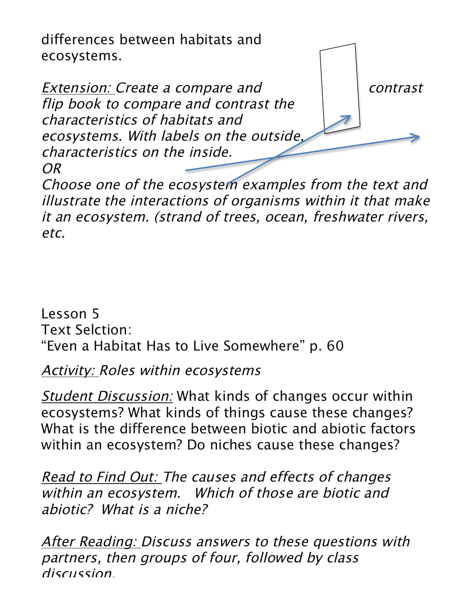differences between habitats and ecosystems.

Extension: Create a compare and  $\vert$  | contrast flip book to compare and contrast the characteristics of habitats and ecosystems. With labels on the outside, characteristics on the inside. OR

Choose one of the ecosystem examples from the text and illustrate the interactions of organisms within it that make it an ecosystem. (strand of trees, ocean, freshwater rivers, etc.

Lesson 5 Text Selction: "Even a Habitat Has to Live Somewhere" p. 60

Activity: Roles within ecosystems

**Student Discussion:** What kinds of changes occur within ecosystems? What kinds of things cause these changes? What is the difference between biotic and abiotic factors within an ecosystem? Do niches cause these changes?

Read to Find Out: The causes and effects of changes within an ecosystem. Which of those are biotic and abiotic? What is a niche?

After Reading: Discuss answers to these questions with partners, then groups of four, followed by class discussion.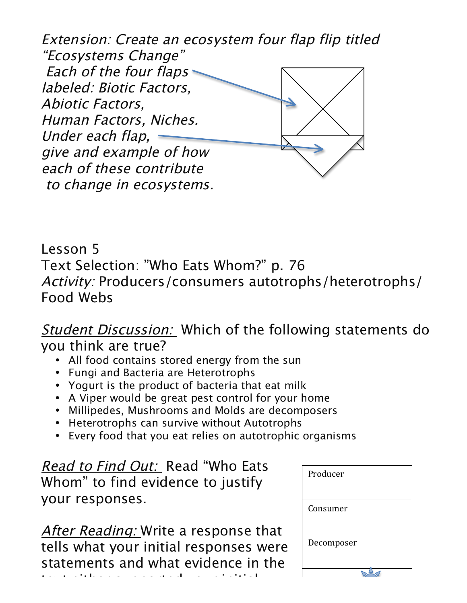Extension: Create an ecosystem four flap flip titled "Ecosystems Change" Each of the four flaps labeled: Biotic Factors, Abiotic Factors, Human Factors, Niches. Under each flap,  $\equiv$ give and example of how each of these contribute to change in ecosystems.

Lesson 5 Text Selection: "Who Eats Whom?" p. 76 Activity: Producers/consumers autotrophs/heterotrophs/ Food Webs

Student Discussion: Which of the following statements do you think are true?

- All food contains stored energy from the sun
- Fungi and Bacteria are Heterotrophs
- Yogurt is the product of bacteria that eat milk
- A Viper would be great pest control for your home
- Millipedes, Mushrooms and Molds are decomposers
- Heterotrophs can survive without Autotrophs
- Every food that you eat relies on autotrophic organisms

Read to Find Out: Read "Who Eats Whom" to find evidence to justify your responses.

After Reading: Write a response that tells what your initial responses were statements and what evidence in the text either supported your initial

| Producer   |
|------------|
|            |
|            |
|            |
|            |
|            |
| Consumer   |
|            |
|            |
|            |
|            |
|            |
| Decomposer |
|            |
|            |
|            |
|            |
|            |
|            |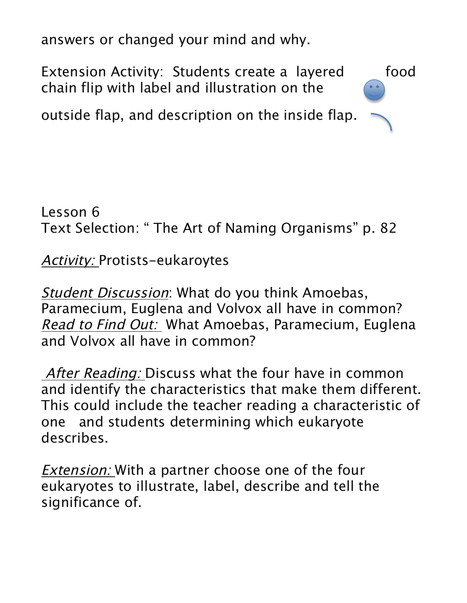answers or changed your mind and why.

Extension Activity: Students create a layered food chain flip with label and illustration on the

outside flap, and description on the inside flap.

Lesson 6 Text Selection: " The Art of Naming Organisms" p. 82

Activity: Protists-eukaroytes

Student Discussion: What do you think Amoebas, Paramecium, Euglena and Volvox all have in common? Read to Find Out: What Amoebas, Paramecium, Euglena and Volvox all have in common?

After Reading: Discuss what the four have in common and identify the characteristics that make them different. This could include the teacher reading a characteristic of one and students determining which eukaryote describes.

Extension: With a partner choose one of the four eukaryotes to illustrate, label, describe and tell the significance of.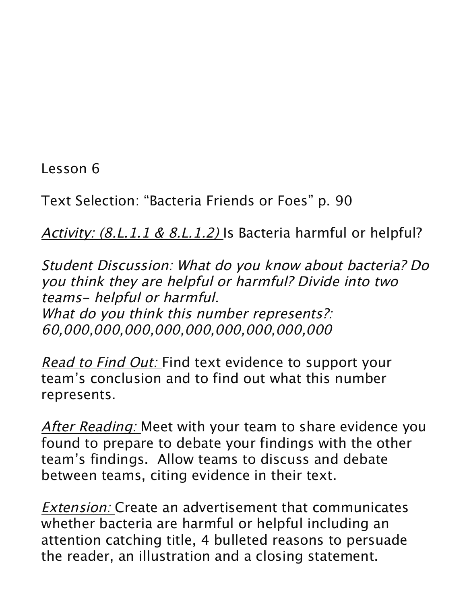Lesson 6

Text Selection: "Bacteria Friends or Foes" p. 90

Activity: (8.L.1.1 & 8.L.1.2) Is Bacteria harmful or helpful?

Student Discussion: What do you know about bacteria? Do you think they are helpful or harmful? Divide into two teams- helpful or harmful. What do you think this number represents?:

60,000,000,000,000,000,000,000,000,000

Read to Find Out: Find text evidence to support your team's conclusion and to find out what this number represents.

After Reading: Meet with your team to share evidence you found to prepare to debate your findings with the other team's findings. Allow teams to discuss and debate between teams, citing evidence in their text.

Extension: Create an advertisement that communicates whether bacteria are harmful or helpful including an attention catching title, 4 bulleted reasons to persuade the reader, an illustration and a closing statement.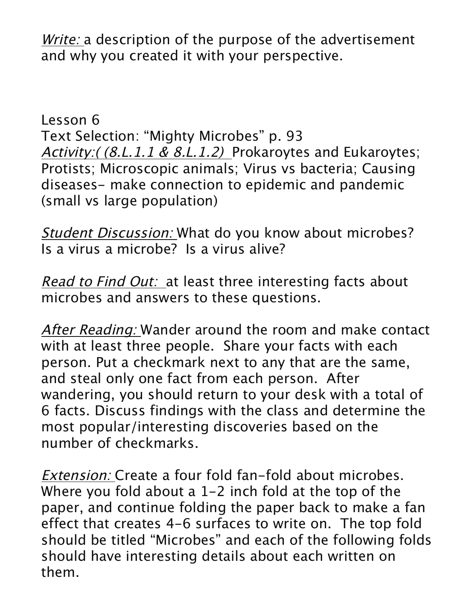Write: a description of the purpose of the advertisement and why you created it with your perspective.

Lesson 6 Text Selection: "Mighty Microbes" p. 93 Activity:( (8.L.1.1 & 8.L.1.2) Prokaroytes and Eukaroytes; Protists; Microscopic animals; Virus vs bacteria; Causing diseases- make connection to epidemic and pandemic (small vs large population)

Student Discussion: What do you know about microbes? Is a virus a microbe? Is a virus alive?

Read to Find Out: at least three interesting facts about microbes and answers to these questions.

After Reading: Wander around the room and make contact with at least three people. Share your facts with each person. Put a checkmark next to any that are the same, and steal only one fact from each person. After wandering, you should return to your desk with a total of 6 facts. Discuss findings with the class and determine the most popular/interesting discoveries based on the number of checkmarks.

Extension: Create a four fold fan-fold about microbes. Where you fold about a 1-2 inch fold at the top of the paper, and continue folding the paper back to make a fan effect that creates 4-6 surfaces to write on. The top fold should be titled "Microbes" and each of the following folds should have interesting details about each written on them.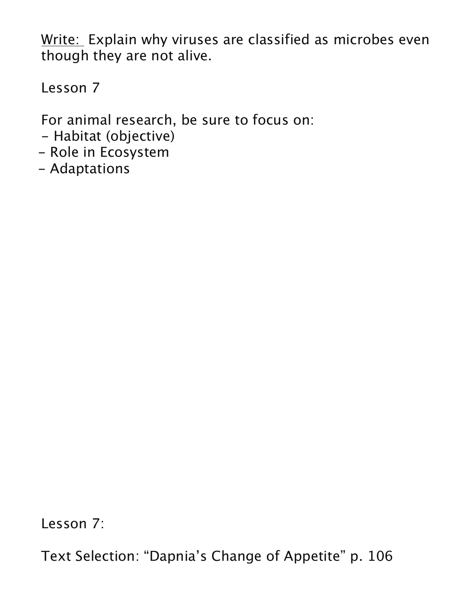Write: Explain why viruses are classified as microbes even though they are not alive.

Lesson 7

For animal research, be sure to focus on:

- Habitat (objective)
- Role in Ecosystem
- Adaptations

Lesson 7:

Text Selection: "Dapnia's Change of Appetite" p. 106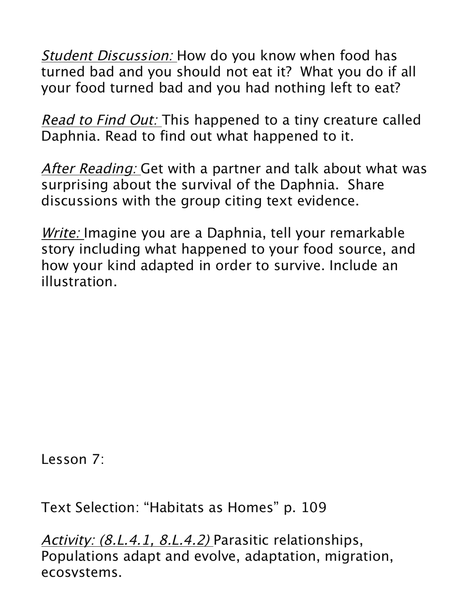Student Discussion: How do you know when food has turned bad and you should not eat it? What you do if all your food turned bad and you had nothing left to eat?

Read to Find Out: This happened to a tiny creature called Daphnia. Read to find out what happened to it.

After Reading: Get with a partner and talk about what was surprising about the survival of the Daphnia. Share discussions with the group citing text evidence.

Write: Imagine you are a Daphnia, tell your remarkable story including what happened to your food source, and how your kind adapted in order to survive. Include an illustration.

Lesson 7:

Text Selection: "Habitats as Homes" p. 109

Activity: (8.L.4.1, 8.L.4.2) Parasitic relationships, Populations adapt and evolve, adaptation, migration, ecosystems.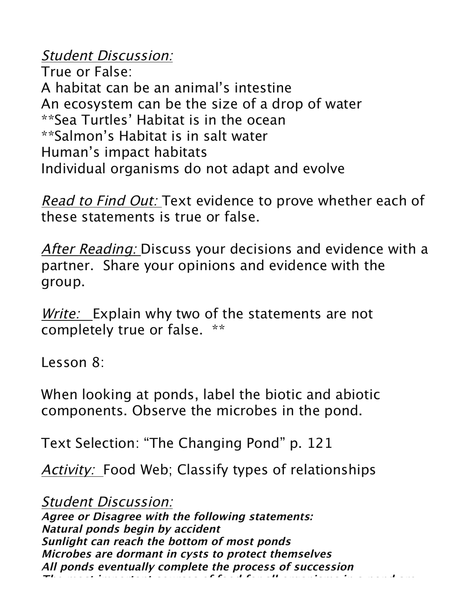Student Discussion:

True or False: A habitat can be an animal's intestine An ecosystem can be the size of a drop of water \*\*Sea Turtles' Habitat is in the ocean \*\*Salmon's Habitat is in salt water Human's impact habitats Individual organisms do not adapt and evolve

Read to Find Out: Text evidence to prove whether each of these statements is true or false.

After Reading: Discuss your decisions and evidence with a partner. Share your opinions and evidence with the group.

Write: Explain why two of the statements are not completely true or false. \*\*

Lesson 8:

When looking at ponds, label the biotic and abiotic components. Observe the microbes in the pond.

Text Selection: "The Changing Pond" p. 121

**Activity:** Food Web; Classify types of relationships

Student Discussion: **Agree or Disagree with the following statements: Natural ponds begin by accident Sunlight can reach the bottom of most ponds Microbes are dormant in cysts to protect themselves All ponds eventually complete the process of succession The most important sources of food for all organisms in a pond are**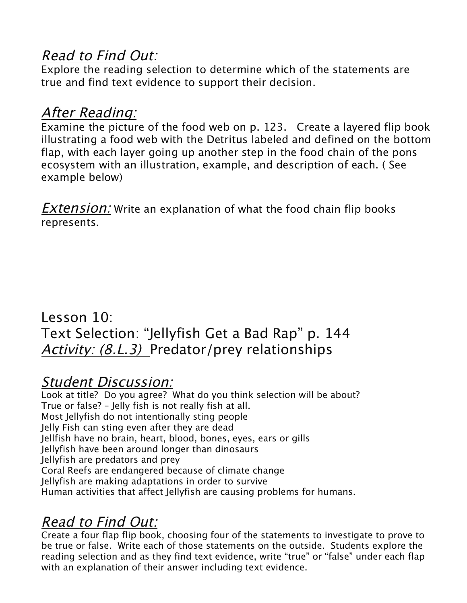### Read to Find Out:

Explore the reading selection to determine which of the statements are true and find text evidence to support their decision.

### After Reading:

Examine the picture of the food web on p. 123. Create a layered flip book illustrating a food web with the Detritus labeled and defined on the bottom flap, with each layer going up another step in the food chain of the pons ecosystem with an illustration, example, and description of each. ( See example below)

**Extension:** Write an explanation of what the food chain flip books represents.

## Lesson 10: Text Selection: "Jellyfish Get a Bad Rap" p. 144 Activity: (8.L.3) Predator/prey relationships

## Student Discussion:

Look at title? Do you agree? What do you think selection will be about? True or false? – Jelly fish is not really fish at all. Most Jellyfish do not intentionally sting people Jelly Fish can sting even after they are dead Jellfish have no brain, heart, blood, bones, eyes, ears or gills Jellyfish have been around longer than dinosaurs Jellyfish are predators and prey Coral Reefs are endangered because of climate change Jellyfish are making adaptations in order to survive Human activities that affect Jellyfish are causing problems for humans.

# Read to Find Out:

Create a four flap flip book, choosing four of the statements to investigate to prove to be true or false. Write each of those statements on the outside. Students explore the reading selection and as they find text evidence, write "true" or "false" under each flap with an explanation of their answer including text evidence.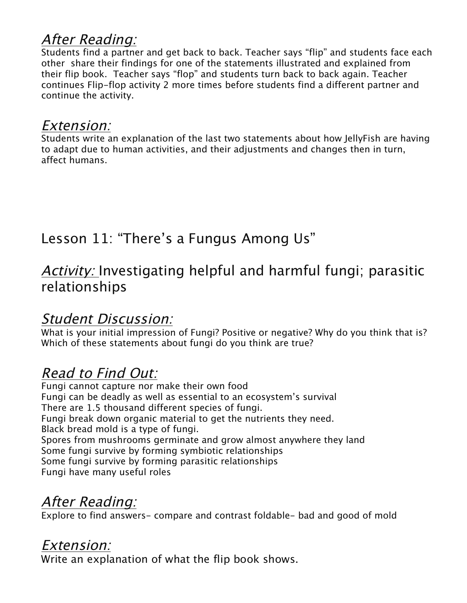# After Reading:

Students find a partner and get back to back. Teacher says "flip" and students face each other share their findings for one of the statements illustrated and explained from their flip book. Teacher says "flop" and students turn back to back again. Teacher continues Flip-flop activity 2 more times before students find a different partner and continue the activity.

### Extension:

Students write an explanation of the last two statements about how JellyFish are having to adapt due to human activities, and their adjustments and changes then in turn, affect humans.

# Lesson 11: "There's a Fungus Among Us"

### Activity: Investigating helpful and harmful fungi; parasitic relationships

### Student Discussion:

What is your initial impression of Fungi? Positive or negative? Why do you think that is? Which of these statements about fungi do you think are true?

# Read to Find Out:

Fungi cannot capture nor make their own food Fungi can be deadly as well as essential to an ecosystem's survival There are 1.5 thousand different species of fungi. Fungi break down organic material to get the nutrients they need. Black bread mold is a type of fungi. Spores from mushrooms germinate and grow almost anywhere they land Some fungi survive by forming symbiotic relationships Some fungi survive by forming parasitic relationships Fungi have many useful roles

## After Reading:

Explore to find answers- compare and contrast foldable- bad and good of mold

### Extension:

Write an explanation of what the flip book shows.